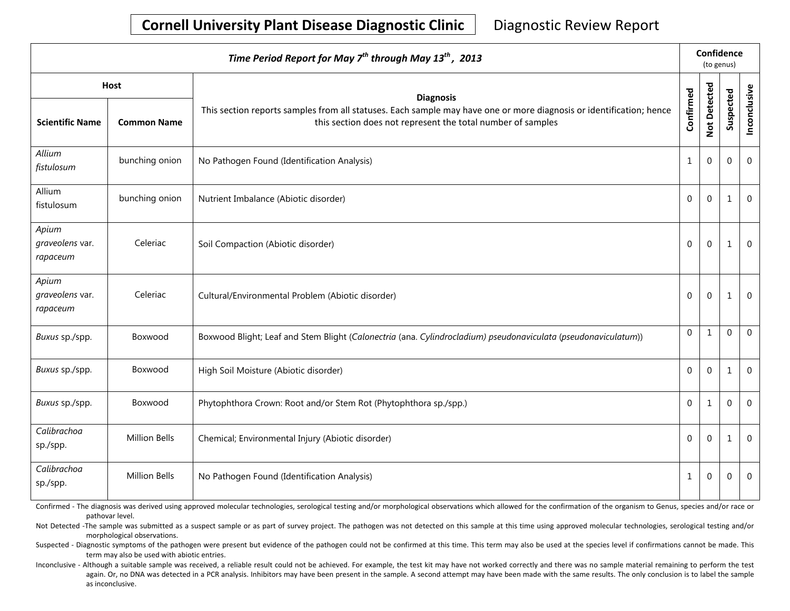# **Cornell University Plant Disease Diagnostic Clinic** | Diagnostic Review Report

| Time Period Report for May $7^{th}$ through May 13 <sup>th</sup> , 2013 |                    |                                                                                                                                                                                    |                | Confidence<br>(to genus) |             |                |  |
|-------------------------------------------------------------------------|--------------------|------------------------------------------------------------------------------------------------------------------------------------------------------------------------------------|----------------|--------------------------|-------------|----------------|--|
| Host                                                                    |                    | <b>Diagnosis</b>                                                                                                                                                                   |                |                          |             |                |  |
| <b>Scientific Name</b>                                                  | <b>Common Name</b> | This section reports samples from all statuses. Each sample may have one or more diagnosis or identification; hence<br>this section does not represent the total number of samples | Confirmed      | Not Detected             | Suspected   | Inconclusive   |  |
| Allium<br>fistulosum                                                    | bunching onion     | No Pathogen Found (Identification Analysis)                                                                                                                                        | $\mathbf{1}$   | $\mathbf{0}$             | $\mathbf 0$ | $\overline{0}$ |  |
| Allium<br>fistulosum                                                    | bunching onion     | Nutrient Imbalance (Abiotic disorder)                                                                                                                                              | $\Omega$       | $\mathbf{0}$             | 1           | $\overline{0}$ |  |
| Apium<br>graveolens var.<br>rapaceum                                    | Celeriac           | Soil Compaction (Abiotic disorder)                                                                                                                                                 | $\overline{0}$ | $\mathbf{0}$             | 1           | $\overline{0}$ |  |
| Apium<br>graveolens var.<br>rapaceum                                    | Celeriac           | Cultural/Environmental Problem (Abiotic disorder)                                                                                                                                  | $\Omega$       | $\mathbf{0}$             | 1           | $\overline{0}$ |  |
| Buxus sp./spp.                                                          | Boxwood            | Boxwood Blight; Leaf and Stem Blight (Calonectria (ana. Cylindrocladium) pseudonaviculata (pseudonaviculatum))                                                                     | $\overline{0}$ | $\mathbf{1}$             | $\mathbf 0$ | $\overline{0}$ |  |
| Buxus sp./spp.                                                          | Boxwood            | High Soil Moisture (Abiotic disorder)                                                                                                                                              | $\mathbf 0$    | $\mathbf{0}$             | 1           | $\mathbf 0$    |  |
| Buxus sp./spp.                                                          | Boxwood            | Phytophthora Crown: Root and/or Stem Rot (Phytophthora sp./spp.)                                                                                                                   | $\Omega$       | $\mathbf{1}$             | $\mathbf 0$ | $\Omega$       |  |
| Calibrachoa<br>sp./spp.                                                 | Million Bells      | Chemical; Environmental Injury (Abiotic disorder)                                                                                                                                  | $\overline{0}$ | $\mathbf{0}$             | 1           | $\overline{0}$ |  |
| Calibrachoa<br>sp./spp.                                                 | Million Bells      | No Pathogen Found (Identification Analysis)                                                                                                                                        | $\mathbf{1}$   | 0                        | 0           | $\overline{0}$ |  |

Confirmed - The diagnosis was derived using approved molecular technologies, serological testing and/or morphological observations which allowed for the confirmation of the organism to Genus, species and/or race or pathovar level.

Not Detected -The sample was submitted as a suspect sample or as part of survey project. The pathogen was not detected on this sample at this time using approved molecular technologies, serological testing and/or morphological observations.

Suspected - Diagnostic symptoms of the pathogen were present but evidence of the pathogen could not be confirmed at this time. This term may also be used at the species level if confirmations cannot be made. This term may also be used with abiotic entries.

Inconclusive - Although a suitable sample was received, a reliable result could not be achieved. For example, the test kit may have not worked correctly and there was no sample material remaining to perform the test again. Or, no DNA was detected in a PCR analysis. Inhibitors may have been present in the sample. A second attempt may have been made with the same results. The only conclusion is to label the sample as inconclusive.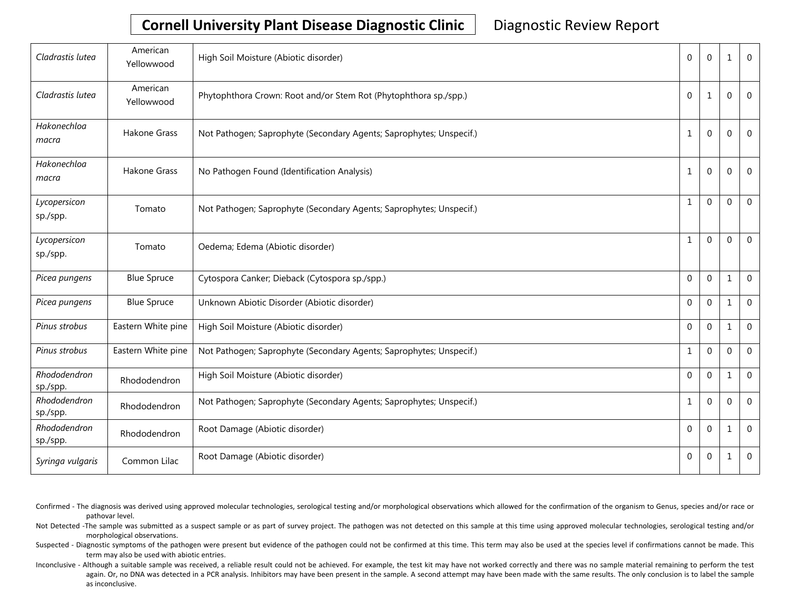# **Cornell University Plant Disease Diagnostic Clinic** | Diagnostic Review Report

| Cladrastis lutea         | American<br>Yellowwood | High Soil Moisture (Abiotic disorder)                               | $\Omega$       | $\Omega$     | 1            | $\Omega$       |
|--------------------------|------------------------|---------------------------------------------------------------------|----------------|--------------|--------------|----------------|
| Cladrastis lutea         | American<br>Yellowwood | Phytophthora Crown: Root and/or Stem Rot (Phytophthora sp./spp.)    | $\mathbf{0}$   | 1            | 0            | $\Omega$       |
| Hakonechloa<br>macra     | Hakone Grass           | Not Pathogen; Saprophyte (Secondary Agents; Saprophytes; Unspecif.) | $\mathbf{1}$   | $\mathbf{0}$ | $\mathbf 0$  | $\mathbf 0$    |
| Hakonechloa<br>macra     | Hakone Grass           | No Pathogen Found (Identification Analysis)                         | 1              | 0            | $\Omega$     | $\Omega$       |
| Lycopersicon<br>sp./spp. | Tomato                 | Not Pathogen; Saprophyte (Secondary Agents; Saprophytes; Unspecif.) | $\mathbf{1}$   | $\Omega$     | $\Omega$     | $\Omega$       |
| Lycopersicon<br>sp./spp. | Tomato                 | Oedema; Edema (Abiotic disorder)                                    | $\mathbf{1}$   | $\mathbf 0$  | $\Omega$     | $\Omega$       |
| Picea pungens            | <b>Blue Spruce</b>     | Cytospora Canker; Dieback (Cytospora sp./spp.)                      | $\Omega$       | $\Omega$     | 1            | $\Omega$       |
| Picea pungens            | <b>Blue Spruce</b>     | Unknown Abiotic Disorder (Abiotic disorder)                         | $\mathbf 0$    | $\mathbf{0}$ | 1            | $\overline{0}$ |
| Pinus strobus            | Eastern White pine     | High Soil Moisture (Abiotic disorder)                               | $\Omega$       | $\Omega$     | 1            | $\overline{0}$ |
| Pinus strobus            | Eastern White pine     | Not Pathogen; Saprophyte (Secondary Agents; Saprophytes; Unspecif.) | $\mathbf{1}$   | $\mathbf{0}$ | $\mathbf{0}$ | $\mathbf 0$    |
| Rhododendron<br>sp./spp. | Rhododendron           | High Soil Moisture (Abiotic disorder)                               | $\Omega$       | $\Omega$     | $\mathbf{1}$ | $\overline{0}$ |
| Rhododendron<br>sp./spp. | Rhododendron           | Not Pathogen; Saprophyte (Secondary Agents; Saprophytes; Unspecif.) | $\mathbf{1}$   | $\mathbf{0}$ | 0            | $\mathbf{0}$   |
| Rhododendron<br>sp./spp. | Rhododendron           | Root Damage (Abiotic disorder)                                      | $\mathbf 0$    | $\mathbf{0}$ | 1            | $\overline{0}$ |
| Syringa vulgaris         | Common Lilac           | Root Damage (Abiotic disorder)                                      | $\overline{0}$ | 0            | 1            | $\mathbf 0$    |

- Confirmed The diagnosis was derived using approved molecular technologies, serological testing and/or morphological observations which allowed for the confirmation of the organism to Genus, species and/or race or pathovar level.
- Not Detected -The sample was submitted as a suspect sample or as part of survey project. The pathogen was not detected on this sample at this time using approved molecular technologies, serological testing and/or morphological observations.
- Suspected Diagnostic symptoms of the pathogen were present but evidence of the pathogen could not be confirmed at this time. This term may also be used at the species level if confirmations cannot be made. This term may also be used with abiotic entries.
- Inconclusive Although a suitable sample was received, a reliable result could not be achieved. For example, the test kit may have not worked correctly and there was no sample material remaining to perform the test again. Or, no DNA was detected in a PCR analysis. Inhibitors may have been present in the sample. A second attempt may have been made with the same results. The only conclusion is to label the sample as inconclusive.